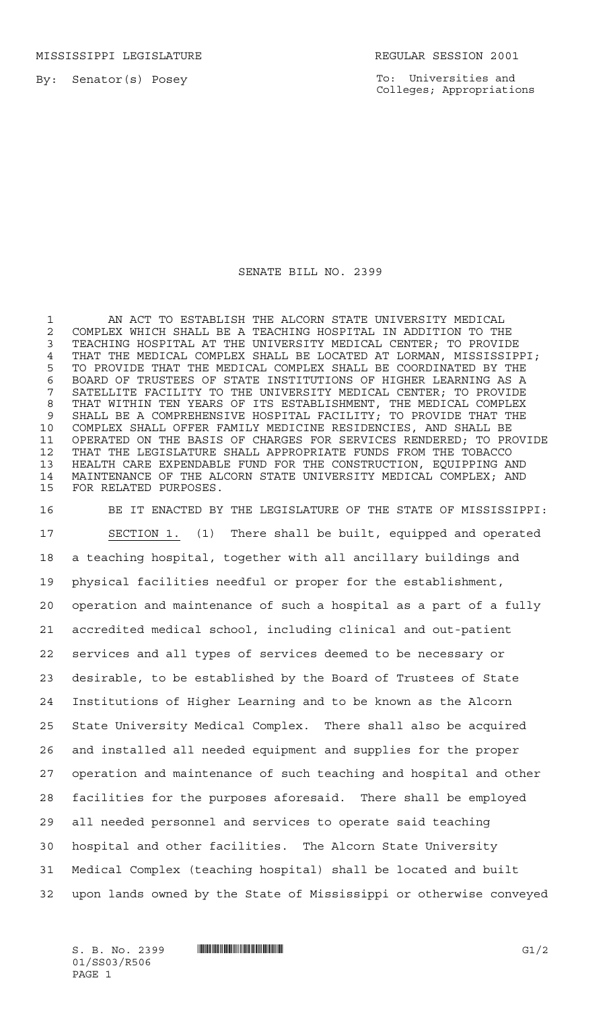MISSISSIPPI LEGISLATURE **REGULAR SESSION 2001** 

By: Senator(s) Posey

To: Universities and Colleges; Appropriations

## SENATE BILL NO. 2399

 AN ACT TO ESTABLISH THE ALCORN STATE UNIVERSITY MEDICAL COMPLEX WHICH SHALL BE A TEACHING HOSPITAL IN ADDITION TO THE TEACHING HOSPITAL AT THE UNIVERSITY MEDICAL CENTER; TO PROVIDE THAT THE MEDICAL COMPLEX SHALL BE LOCATED AT LORMAN, MISSISSIPPI; TO PROVIDE THAT THE MEDICAL COMPLEX SHALL BE COORDINATED BY THE BOARD OF TRUSTEES OF STATE INSTITUTIONS OF HIGHER LEARNING AS A SATELLITE FACILITY TO THE UNIVERSITY MEDICAL CENTER; TO PROVIDE THAT WITHIN TEN YEARS OF ITS ESTABLISHMENT, THE MEDICAL COMPLEX SHALL BE A COMPREHENSIVE HOSPITAL FACILITY; TO PROVIDE THAT THE COMPLEX SHALL OFFER FAMILY MEDICINE RESIDENCIES, AND SHALL BE OPERATED ON THE BASIS OF CHARGES FOR SERVICES RENDERED; TO PROVIDE THAT THE LEGISLATURE SHALL APPROPRIATE FUNDS FROM THE TOBACCO HEALTH CARE EXPENDABLE FUND FOR THE CONSTRUCTION, EQUIPPING AND MAINTENANCE OF THE ALCORN STATE UNIVERSITY MEDICAL COMPLEX; AND FOR RELATED PURPOSES.

 BE IT ENACTED BY THE LEGISLATURE OF THE STATE OF MISSISSIPPI: SECTION 1. (1) There shall be built, equipped and operated a teaching hospital, together with all ancillary buildings and physical facilities needful or proper for the establishment, operation and maintenance of such a hospital as a part of a fully accredited medical school, including clinical and out-patient services and all types of services deemed to be necessary or desirable, to be established by the Board of Trustees of State Institutions of Higher Learning and to be known as the Alcorn State University Medical Complex. There shall also be acquired and installed all needed equipment and supplies for the proper operation and maintenance of such teaching and hospital and other facilities for the purposes aforesaid. There shall be employed all needed personnel and services to operate said teaching hospital and other facilities. The Alcorn State University Medical Complex (teaching hospital) shall be located and built upon lands owned by the State of Mississippi or otherwise conveyed

01/SS03/R506 PAGE 1

 $S. B. No. 2399$   $\blacksquare$   $\blacksquare$   $\blacksquare$   $\blacksquare$   $\blacksquare$   $\blacksquare$   $\blacksquare$   $\blacksquare$   $\blacksquare$   $\blacksquare$   $\blacksquare$   $\blacksquare$   $\blacksquare$   $\blacksquare$   $\blacksquare$   $\blacksquare$   $\blacksquare$   $\blacksquare$   $\blacksquare$   $\blacksquare$   $\blacksquare$   $\blacksquare$   $\blacksquare$   $\blacksquare$   $\blacksquare$   $\blacksquare$   $\blacksquare$   $\blacksquare$   $\blacksquare$   $\blacks$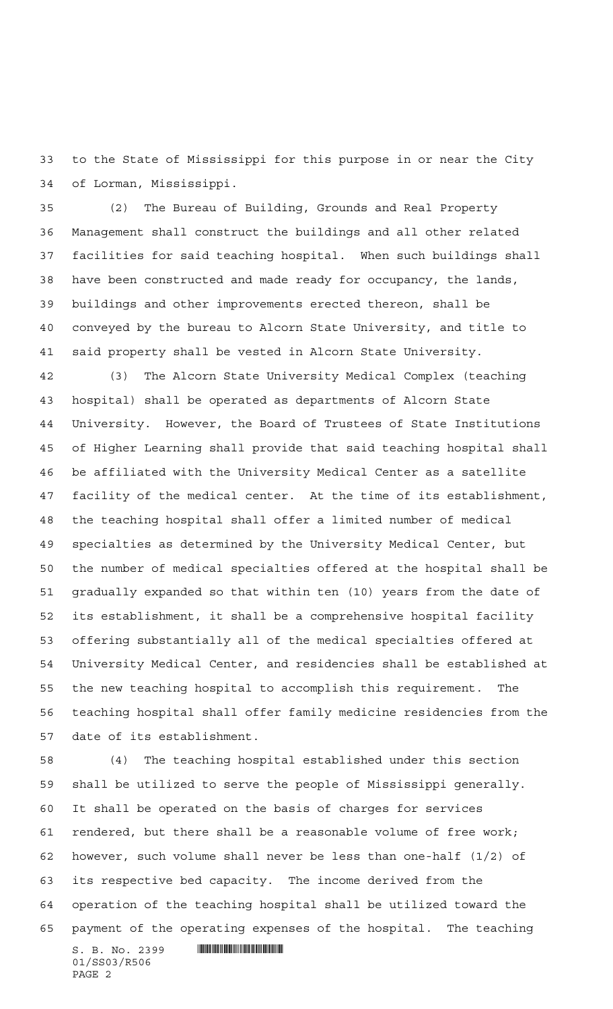to the State of Mississippi for this purpose in or near the City of Lorman, Mississippi.

 (2) The Bureau of Building, Grounds and Real Property Management shall construct the buildings and all other related facilities for said teaching hospital. When such buildings shall have been constructed and made ready for occupancy, the lands, buildings and other improvements erected thereon, shall be conveyed by the bureau to Alcorn State University, and title to said property shall be vested in Alcorn State University.

 (3) The Alcorn State University Medical Complex (teaching hospital) shall be operated as departments of Alcorn State University. However, the Board of Trustees of State Institutions of Higher Learning shall provide that said teaching hospital shall be affiliated with the University Medical Center as a satellite facility of the medical center. At the time of its establishment, the teaching hospital shall offer a limited number of medical specialties as determined by the University Medical Center, but the number of medical specialties offered at the hospital shall be gradually expanded so that within ten (10) years from the date of its establishment, it shall be a comprehensive hospital facility offering substantially all of the medical specialties offered at University Medical Center, and residencies shall be established at the new teaching hospital to accomplish this requirement. The teaching hospital shall offer family medicine residencies from the date of its establishment.

 (4) The teaching hospital established under this section shall be utilized to serve the people of Mississippi generally. It shall be operated on the basis of charges for services rendered, but there shall be a reasonable volume of free work; however, such volume shall never be less than one-half (1/2) of its respective bed capacity. The income derived from the operation of the teaching hospital shall be utilized toward the payment of the operating expenses of the hospital. The teaching

 $S. B. No. 2399$  . The set of  $\mathbb S$  and  $S. S. S. S.$ 01/SS03/R506 PAGE 2